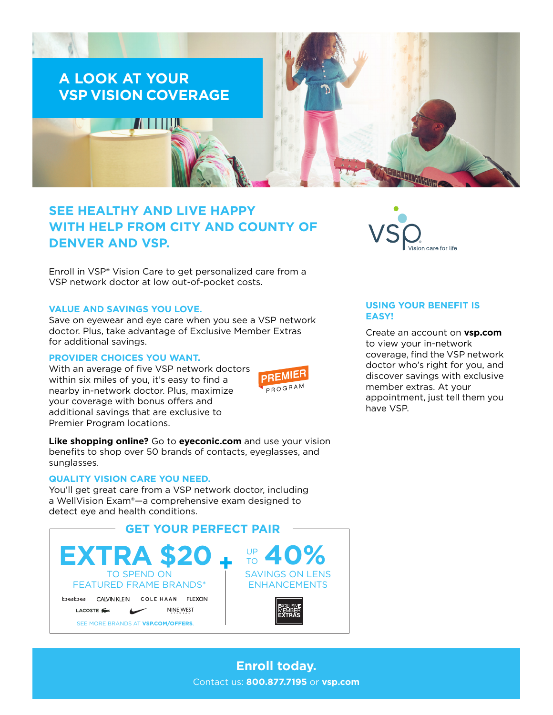

# **SEE HEALTHY AND LIVE HAPPY WITH HELP FROM CITY AND COUNTY OF DENVER AND VSP.**

Enroll in VSP® Vision Care to get personalized care from a VSP network doctor at low out-of-pocket costs.

### **VALUE AND SAVINGS YOU LOVE.**

Save on eyewear and eye care when you see a VSP network doctor. Plus, take advantage of Exclusive Member Extras for additional savings.

## **PROVIDER CHOICES YOU WANT.**

With an average of five VSP network doctors within six miles of you, it's easy to find a nearby in-network doctor. Plus, maximize your coverage with bonus offers and additional savings that are exclusive to Premier Program locations.



**Like shopping online?** Go to **[eyeconic.com](https://www.eyeconic.com)** and use your vision benefits to shop over 50 brands of contacts, eyeglasses, and sunglasses.

#### **QUALITY VISION CARE YOU NEED.**

You'll get great care from a VSP network doctor, including a WellVision Exam®—a comprehensive exam designed to detect eye and health conditions.





## **USING YOUR BENEFIT IS EASY!**

Create an account on **[vsp.com](http://www.vsp.com)** to view your in-network coverage, find the VSP network doctor who's right for you, and discover savings with exclusive member extras. At your appointment, just tell them you have VSP.

**Enroll today.** Contact us: **800.877.7195** or **[vsp.com](http://www.vsp.com)**